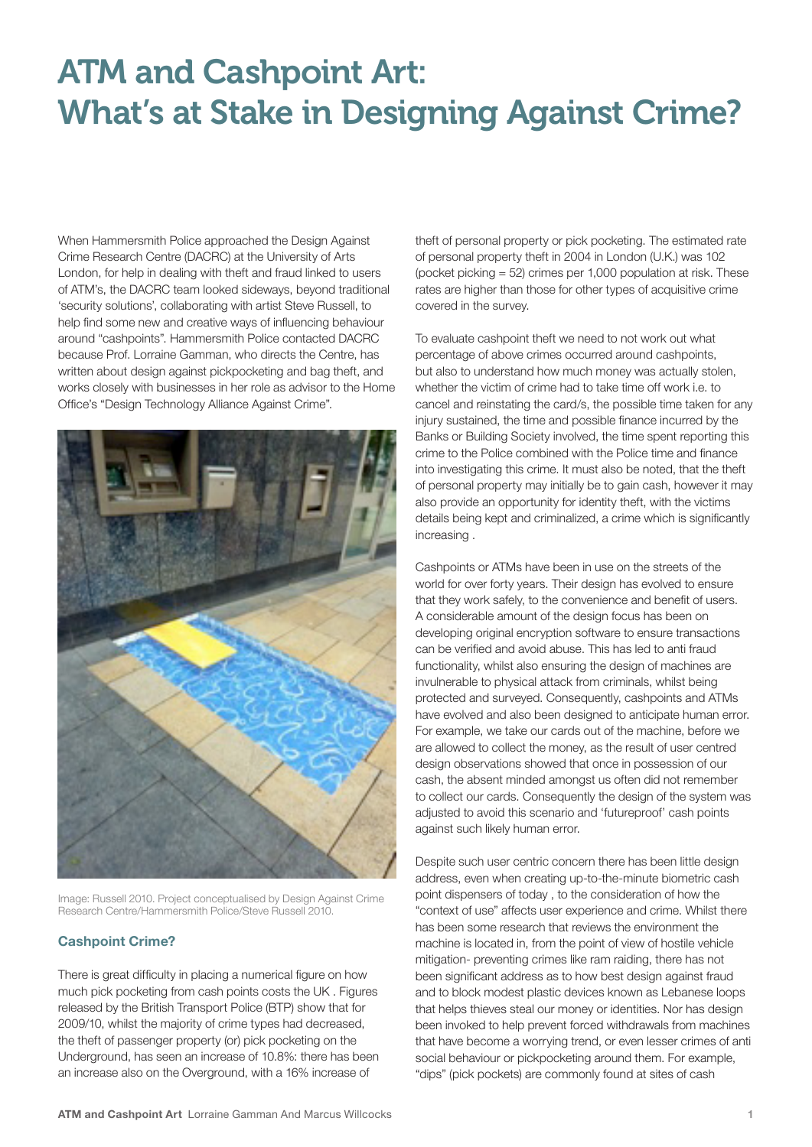## ATM and Cashpoint Art: What's at Stake in Designing Against Crime?

When Hammersmith Police approached the Design Against Crime Research Centre (DACRC) at the University of Arts London, for help in dealing with theft and fraud linked to users of ATM's, the DACRC team looked sideways, beyond traditional 'security solutions', collaborating with artist Steve Russell, to help find some new and creative ways of influencing behaviour around "cashpoints". Hammersmith Police contacted DACRC because Prof. Lorraine Gamman, who directs the Centre, has written about design against pickpocketing and bag theft, and works closely with businesses in her role as advisor to the Home Office's "Design Technology Alliance Against Crime".



Image: Russell 2010. Project conceptualised by Design Against Crime Research Centre/Hammersmith Police/Steve Russell 2010.

### **Cashpoint Crime?**

There is great difficulty in placing a numerical figure on how much pick pocketing from cash points costs the UK . Figures released by the British Transport Police (BTP) show that for 2009/10, whilst the majority of crime types had decreased, the theft of passenger property (or) pick pocketing on the Underground, has seen an increase of 10.8%: there has been an increase also on the Overground, with a 16% increase of

theft of personal property or pick pocketing. The estimated rate of personal property theft in 2004 in London (U.K.) was 102 (pocket picking = 52) crimes per 1,000 population at risk. These rates are higher than those for other types of acquisitive crime covered in the survey.

To evaluate cashpoint theft we need to not work out what percentage of above crimes occurred around cashpoints, but also to understand how much money was actually stolen, whether the victim of crime had to take time off work i.e. to cancel and reinstating the card/s, the possible time taken for any injury sustained, the time and possible finance incurred by the Banks or Building Society involved, the time spent reporting this crime to the Police combined with the Police time and finance into investigating this crime. It must also be noted, that the theft of personal property may initially be to gain cash, however it may also provide an opportunity for identity theft, with the victims details being kept and criminalized, a crime which is significantly increasing .

Cashpoints or ATMs have been in use on the streets of the world for over forty years. Their design has evolved to ensure that they work safely, to the convenience and benefit of users. A considerable amount of the design focus has been on developing original encryption software to ensure transactions can be verified and avoid abuse. This has led to anti fraud functionality, whilst also ensuring the design of machines are invulnerable to physical attack from criminals, whilst being protected and surveyed. Consequently, cashpoints and ATMs have evolved and also been designed to anticipate human error. For example, we take our cards out of the machine, before we are allowed to collect the money, as the result of user centred design observations showed that once in possession of our cash, the absent minded amongst us often did not remember to collect our cards. Consequently the design of the system was adjusted to avoid this scenario and 'futureproof' cash points against such likely human error.

Despite such user centric concern there has been little design address, even when creating up-to-the-minute biometric cash point dispensers of today , to the consideration of how the "context of use" affects user experience and crime. Whilst there has been some research that reviews the environment the machine is located in, from the point of view of hostile vehicle mitigation- preventing crimes like ram raiding, there has not been significant address as to how best design against fraud and to block modest plastic devices known as Lebanese loops that helps thieves steal our money or identities. Nor has design been invoked to help prevent forced withdrawals from machines that have become a worrying trend, or even lesser crimes of anti social behaviour or pickpocketing around them. For example, "dips" (pick pockets) are commonly found at sites of cash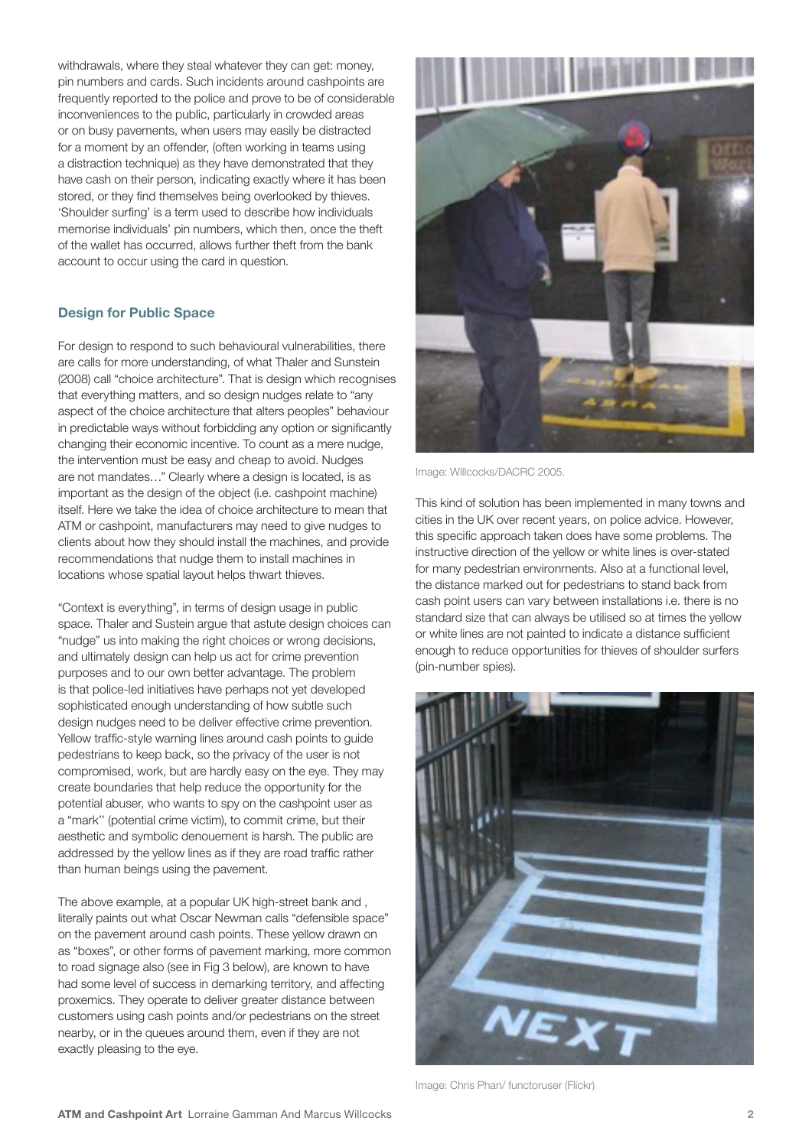withdrawals, where they steal whatever they can get: money. pin numbers and cards. Such incidents around cashpoints are frequently reported to the police and prove to be of considerable inconveniences to the public, particularly in crowded areas or on busy pavements, when users may easily be distracted for a moment by an offender, (often working in teams using a distraction technique) as they have demonstrated that they have cash on their person, indicating exactly where it has been stored, or they find themselves being overlooked by thieves. 'Shoulder surfing' is a term used to describe how individuals memorise individuals' pin numbers, which then, once the theft of the wallet has occurred, allows further theft from the bank account to occur using the card in question.

#### **Design for Public Space**

For design to respond to such behavioural vulnerabilities, there are calls for more understanding, of what Thaler and Sunstein (2008) call "choice architecture". That is design which recognises that everything matters, and so design nudges relate to "any aspect of the choice architecture that alters peoples" behaviour in predictable ways without forbidding any option or significantly changing their economic incentive. To count as a mere nudge, the intervention must be easy and cheap to avoid. Nudges are not mandates…" Clearly where a design is located, is as important as the design of the object (i.e. cashpoint machine) itself. Here we take the idea of choice architecture to mean that ATM or cashpoint, manufacturers may need to give nudges to clients about how they should install the machines, and provide recommendations that nudge them to install machines in locations whose spatial layout helps thwart thieves.

"Context is everything", in terms of design usage in public space. Thaler and Sustein argue that astute design choices can "nudge" us into making the right choices or wrong decisions, and ultimately design can help us act for crime prevention purposes and to our own better advantage. The problem is that police-led initiatives have perhaps not yet developed sophisticated enough understanding of how subtle such design nudges need to be deliver effective crime prevention. Yellow traffic-style warning lines around cash points to guide pedestrians to keep back, so the privacy of the user is not compromised, work, but are hardly easy on the eye. They may create boundaries that help reduce the opportunity for the potential abuser, who wants to spy on the cashpoint user as a "mark'' (potential crime victim), to commit crime, but their aesthetic and symbolic denouement is harsh. The public are addressed by the yellow lines as if they are road traffic rather than human beings using the pavement.

The above example, at a popular UK high-street bank and , literally paints out what Oscar Newman calls "defensible space" on the pavement around cash points. These yellow drawn on as "boxes", or other forms of pavement marking, more common to road signage also (see in Fig 3 below), are known to have had some level of success in demarking territory, and affecting proxemics. They operate to deliver greater distance between customers using cash points and/or pedestrians on the street nearby, or in the queues around them, even if they are not exactly pleasing to the eye.



Image: Willcocks/DACRC 2005.

This kind of solution has been implemented in many towns and cities in the UK over recent years, on police advice. However, this specific approach taken does have some problems. The instructive direction of the yellow or white lines is over-stated for many pedestrian environments. Also at a functional level, the distance marked out for pedestrians to stand back from cash point users can vary between installations i.e. there is no standard size that can always be utilised so at times the yellow or white lines are not painted to indicate a distance sufficient enough to reduce opportunities for thieves of shoulder surfers (pin-number spies).



Image: Chris Phan/ functoruser (Flickr)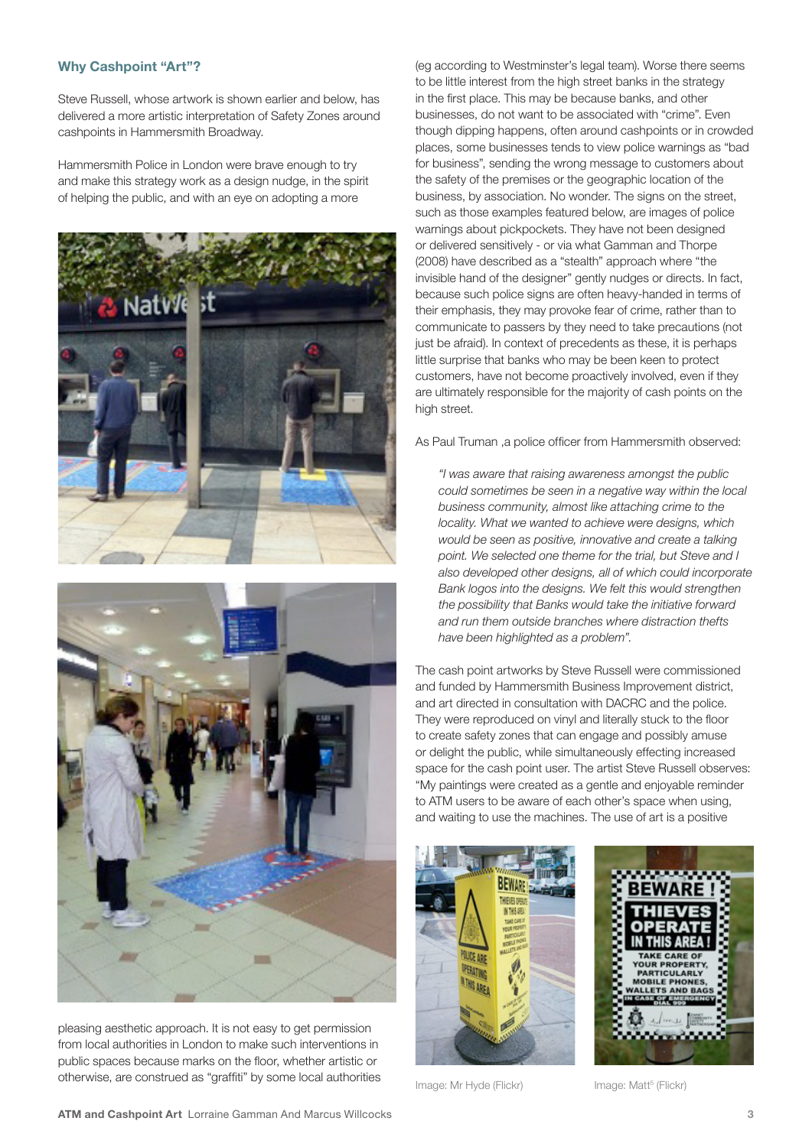### **Why Cashpoint "Art"?**

Steve Russell, whose artwork is shown earlier and below, has delivered a more artistic interpretation of Safety Zones around cashpoints in Hammersmith Broadway.

Hammersmith Police in London were brave enough to try and make this strategy work as a design nudge, in the spirit of helping the public, and with an eye on adopting a more





pleasing aesthetic approach. It is not easy to get permission from local authorities in London to make such interventions in public spaces because marks on the floor, whether artistic or otherwise, are construed as "graffiti" by some local authorities

(eg according to Westminster's legal team). Worse there seems to be little interest from the high street banks in the strategy in the first place. This may be because banks, and other businesses, do not want to be associated with "crime". Even though dipping happens, often around cashpoints or in crowded places, some businesses tends to view police warnings as "bad for business", sending the wrong message to customers about the safety of the premises or the geographic location of the business, by association. No wonder. The signs on the street, such as those examples featured below, are images of police warnings about pickpockets. They have not been designed or delivered sensitively - or via what Gamman and Thorpe (2008) have described as a "stealth" approach where "the invisible hand of the designer" gently nudges or directs. In fact, because such police signs are often heavy-handed in terms of their emphasis, they may provoke fear of crime, rather than to communicate to passers by they need to take precautions (not just be afraid). In context of precedents as these, it is perhaps little surprise that banks who may be been keen to protect customers, have not become proactively involved, even if they are ultimately responsible for the majority of cash points on the high street.

As Paul Truman ,a police officer from Hammersmith observed:

*"I was aware that raising awareness amongst the public could sometimes be seen in a negative way within the local business community, almost like attaching crime to the locality. What we wanted to achieve were designs, which would be seen as positive, innovative and create a talking point. We selected one theme for the trial, but Steve and I also developed other designs, all of which could incorporate Bank logos into the designs. We felt this would strengthen the possibility that Banks would take the initiative forward and run them outside branches where distraction thefts have been highlighted as a problem".*

The cash point artworks by Steve Russell were commissioned and funded by Hammersmith Business Improvement district, and art directed in consultation with DACRC and the police. They were reproduced on vinyl and literally stuck to the floor to create safety zones that can engage and possibly amuse or delight the public, while simultaneously effecting increased space for the cash point user. The artist Steve Russell observes: "My paintings were created as a gentle and enjoyable reminder to ATM users to be aware of each other's space when using, and waiting to use the machines. The use of art is a positive





Image: Mr Hyde (Flickr)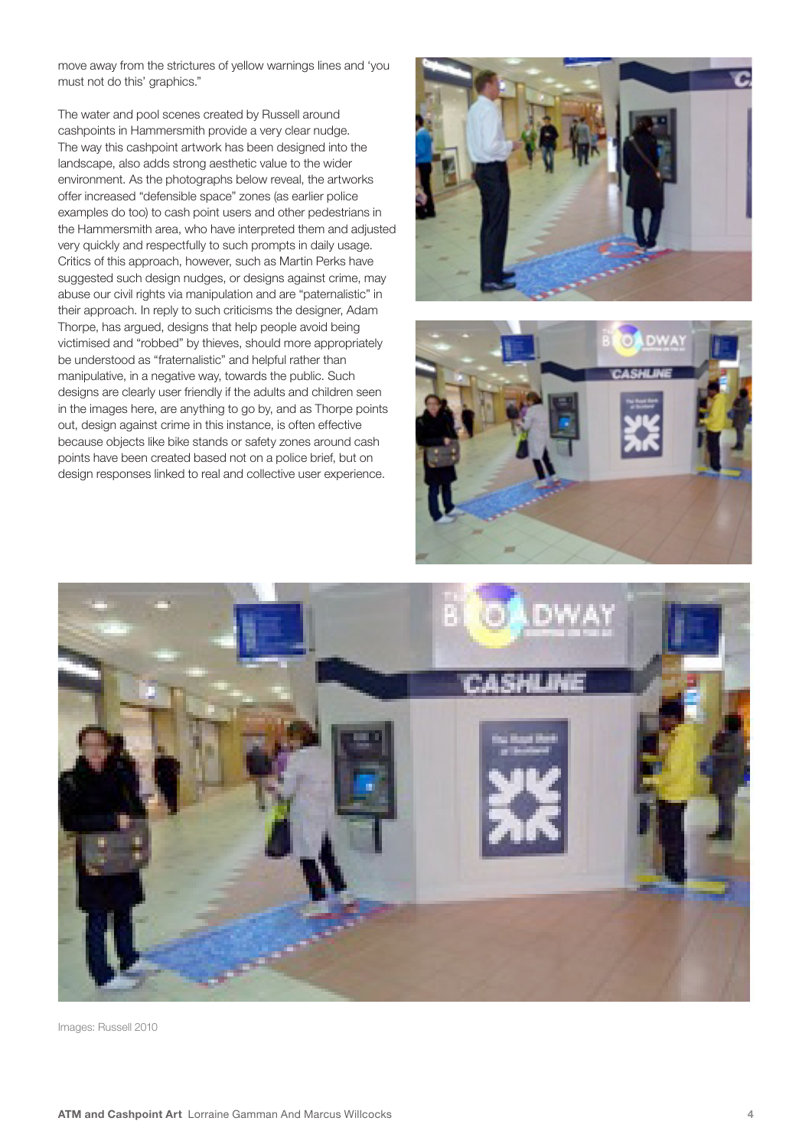move away from the strictures of yellow warnings lines and 'you must not do this' graphics."

The water and pool scenes created by Russell around cashpoints in Hammersmith provide a very clear nudge. The way this cashpoint artwork has been designed into the landscape, also adds strong aesthetic value to the wider environment. As the photographs below reveal, the artworks offer increased "defensible space" zones (as earlier police examples do too) to cash point users and other pedestrians in the Hammersmith area, who have interpreted them and adjusted very quickly and respectfully to such prompts in daily usage. Critics of this approach, however, such as Martin Perks have suggested such design nudges, or designs against crime, may abuse our civil rights via manipulation and are "paternalistic" in their approach. In reply to such criticisms the designer, Adam Thorpe, has argued, designs that help people avoid being victimised and "robbed" by thieves, should more appropriately be understood as "fraternalistic" and helpful rather than manipulative, in a negative way, towards the public. Such designs are clearly user friendly if the adults and children seen in the images here, are anything to go by, and as Thorpe points out, design against crime in this instance, is often effective because objects like bike stands or safety zones around cash points have been created based not on a police brief, but on design responses linked to real and collective user experience.







Images: Russell 2010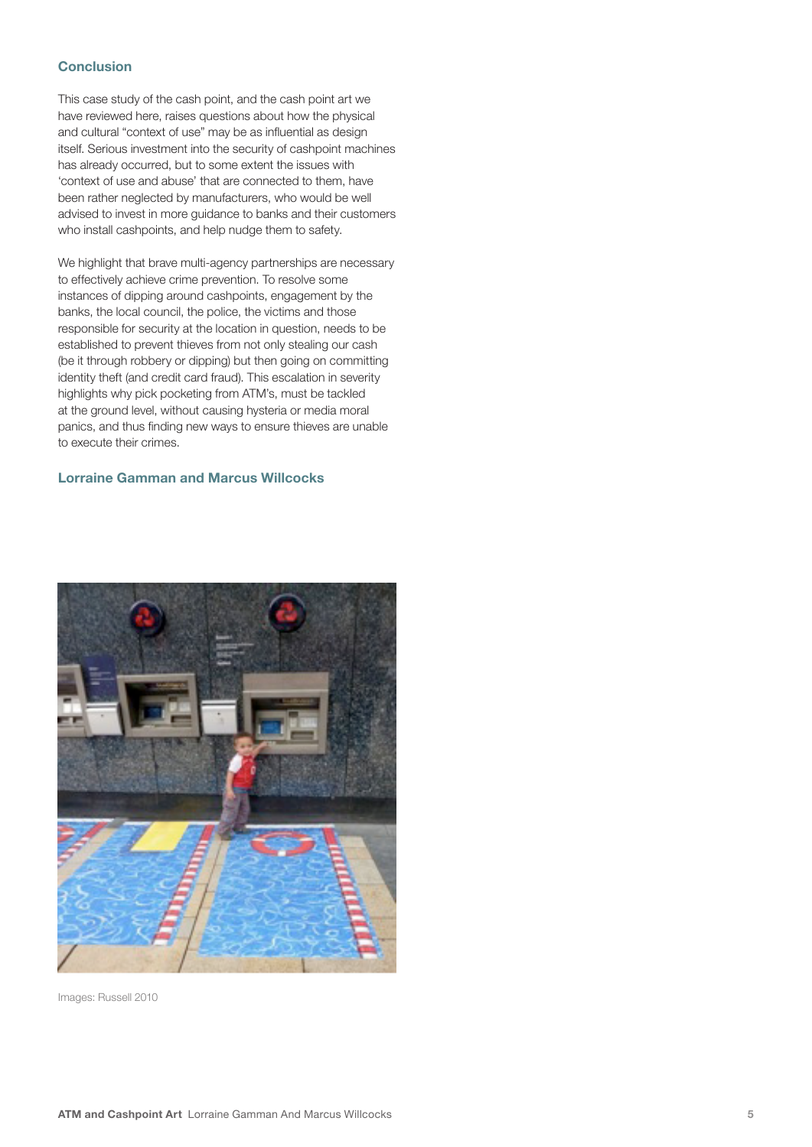#### **Conclusion**

This case study of the cash point, and the cash point art we have reviewed here, raises questions about how the physical and cultural "context of use" may be as influential as design itself. Serious investment into the security of cashpoint machines has already occurred, but to some extent the issues with 'context of use and abuse' that are connected to them, have been rather neglected by manufacturers, who would be well advised to invest in more guidance to banks and their customers who install cashpoints, and help nudge them to safety.

We highlight that brave multi-agency partnerships are necessary to effectively achieve crime prevention. To resolve some instances of dipping around cashpoints, engagement by the banks, the local council, the police, the victims and those responsible for security at the location in question, needs to be established to prevent thieves from not only stealing our cash (be it through robbery or dipping) but then going on committing identity theft (and credit card fraud). This escalation in severity highlights why pick pocketing from ATM's, must be tackled at the ground level, without causing hysteria or media moral panics, and thus finding new ways to ensure thieves are unable to execute their crimes.

#### **Lorraine Gamman and Marcus Willcocks**



Images: Russell 2010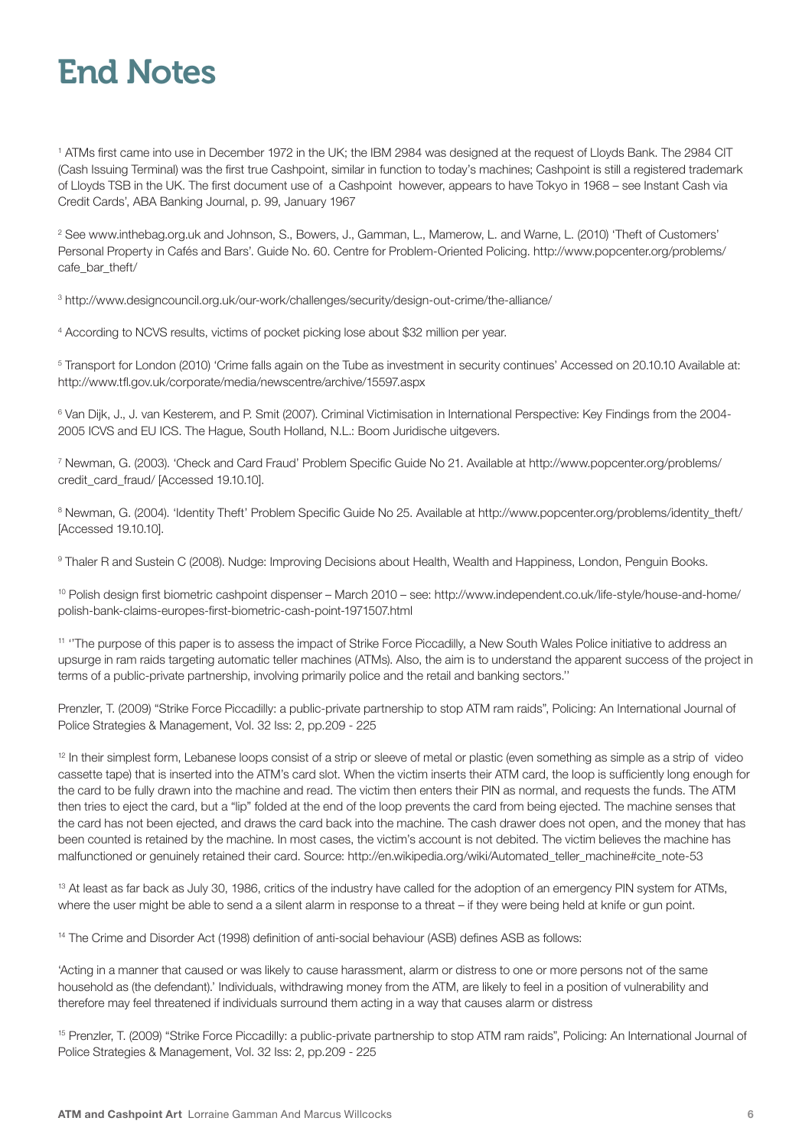# End Notes

1 ATMs first came into use in December 1972 in the UK; the IBM 2984 was designed at the request of Lloyds Bank. The 2984 CIT (Cash Issuing Terminal) was the first true Cashpoint, similar in function to today's machines; Cashpoint is still a registered trademark of Lloyds TSB in the UK. The first document use of a Cashpoint however, appears to have Tokyo in 1968 – see Instant Cash via Credit Cards', ABA Banking Journal, p. 99, January 1967

2 See www.inthebag.org.uk and Johnson, S., Bowers, J., Gamman, L., Mamerow, L. and Warne, L. (2010) 'Theft of Customers' Personal Property in Cafés and Bars'. Guide No. 60. Centre for Problem-Oriented Policing. http://www.popcenter.org/problems/ cafe\_bar\_theft/

3 http://www.designcouncil.org.uk/our-work/challenges/security/design-out-crime/the-alliance/

4 According to NCVS results, victims of pocket picking lose about \$32 million per year.

5 Transport for London (2010) 'Crime falls again on the Tube as investment in security continues' Accessed on 20.10.10 Available at: http://www.tfl.gov.uk/corporate/media/newscentre/archive/15597.aspx

6 Van Dijk, J., J. van Kesterem, and P. Smit (2007). Criminal Victimisation in International Perspective: Key Findings from the 2004- 2005 ICVS and EU ICS. The Hague, South Holland, N.L.: Boom Juridische uitgevers.

7 Newman, G. (2003). 'Check and Card Fraud' Problem Specific Guide No 21. Available at http://www.popcenter.org/problems/ credit\_card\_fraud/ [Accessed 19.10.10].

<sup>8</sup> Newman, G. (2004). 'Identity Theft' Problem Specific Guide No 25. Available at http://www.popcenter.org/problems/identity\_theft/ [Accessed 19.10.10].

9 Thaler R and Sustein C (2008). Nudge: Improving Decisions about Health, Wealth and Happiness, London, Penguin Books.

<sup>10</sup> Polish design first biometric cashpoint dispenser – March 2010 – see: http://www.independent.co.uk/life-style/house-and-home/ polish-bank-claims-europes-first-biometric-cash-point-1971507.html

11 ''The purpose of this paper is to assess the impact of Strike Force Piccadilly, a New South Wales Police initiative to address an upsurge in ram raids targeting automatic teller machines (ATMs). Also, the aim is to understand the apparent success of the project in terms of a public-private partnership, involving primarily police and the retail and banking sectors.''

Prenzler, T. (2009) "Strike Force Piccadilly: a public-private partnership to stop ATM ram raids", Policing: An International Journal of Police Strategies & Management, Vol. 32 Iss: 2, pp.209 - 225

<sup>12</sup> In their simplest form, Lebanese loops consist of a strip or sleeve of metal or plastic (even something as simple as a strip of video cassette tape) that is inserted into the ATM's card slot. When the victim inserts their ATM card, the loop is sufficiently long enough for the card to be fully drawn into the machine and read. The victim then enters their PIN as normal, and requests the funds. The ATM then tries to eject the card, but a "lip" folded at the end of the loop prevents the card from being ejected. The machine senses that the card has not been ejected, and draws the card back into the machine. The cash drawer does not open, and the money that has been counted is retained by the machine. In most cases, the victim's account is not debited. The victim believes the machine has malfunctioned or genuinely retained their card. Source: http://en.wikipedia.org/wiki/Automated\_teller\_machine#cite\_note-53

<sup>13</sup> At least as far back as July 30, 1986, critics of the industry have called for the adoption of an emergency PIN system for ATMs, where the user might be able to send a a silent alarm in response to a threat – if they were being held at knife or gun point.

<sup>14</sup> The Crime and Disorder Act (1998) definition of anti-social behaviour (ASB) defines ASB as follows:

'Acting in a manner that caused or was likely to cause harassment, alarm or distress to one or more persons not of the same household as (the defendant).' Individuals, withdrawing money from the ATM, are likely to feel in a position of vulnerability and therefore may feel threatened if individuals surround them acting in a way that causes alarm or distress

15 Prenzler, T. (2009) "Strike Force Piccadilly: a public-private partnership to stop ATM ram raids", Policing: An International Journal of Police Strategies & Management, Vol. 32 Iss: 2, pp.209 - 225